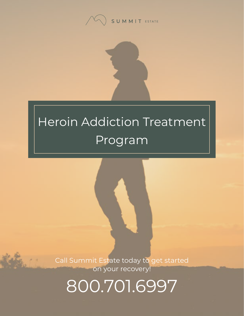

## Heroin Addiction Treatment Program

Call Summit Estate today to get started on your recovery!

800.701.6997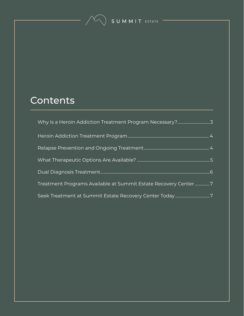SUMMIT ESTATE

#### **Contents**

| Treatment Programs Available at Summit Estate Recovery Center7 |  |
|----------------------------------------------------------------|--|
| Seek Treatment at Summit Estate Recovery Center Today7         |  |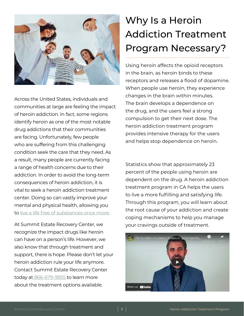<span id="page-2-0"></span>

Across the United States, individuals and communities at large are feeling the impact of heroin addiction. In fact, some regions identify heroin as one of the most notable drug addictions that their communities are facing. Unfortunately, few people who are suffering from this challenging condition seek the care that they need. As a result, many people are currently facing a range of health concerns due to their addiction. In order to avoid the long-term consequences of heroin addiction, it is vital to seek a heroin addiction treatment center. Doing so can vastly improve your mental and physical health, allowing you to [live a life free of substances once more](https://www.summitestate.com/northern-california-substance-abuse-treatment-center/).

At Summit Estate Recovery Center, we recognize the impact drugs like heroin can have on a person's life. However, we also know that through treatment and support, there is hope. Please don't let your heroin addiction rule your life anymore. Contact Summit Estate Recovery Center today at [866-679-9855](tel:+18666799855) to learn more about the treatment options available.

#### Why Is a Heroin Addiction Treatment Program Necessary?

Using heroin affects the opioid receptors in the brain, as heroin binds to these receptors and releases a flood of dopamine. When people use heroin, they experience changes in the brain within minutes. The brain develops a dependence on the drug, and the users feel a strong compulsion to get their next dose. The heroin addiction treatment program provides intensive therapy for the users and helps stop dependence on heroin.

Statistics show that approximately 23 percent of the people using heroin are dependent on the drug. A heroin addiction treatment program in CA helps the users to live a more fulfilling and satisfying life. Through this program, you will learn about the root cause of your addiction and create coping mechanisms to help you manage your cravings outside of treatment.

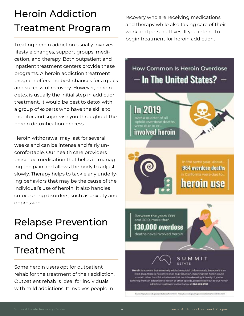#### <span id="page-3-0"></span>Heroin Addiction Treatment Program

Treating heroin addiction usually involves lifestyle changes, support groups, medication, and therapy. Both outpatient and inpatient treatment centers provide these programs. A heroin addiction treatment program offers the best chances for a quick and successful recovery. However, heroin detox is usually the initial step in addiction treatment. It would be best to detox with a group of experts who have the skills to monitor and supervise you throughout the heroin detoxification process.

Heroin withdrawal may last for several weeks and can be intense and fairly uncomfortable. Our health care providers prescribe medication that helps in managing the pain and allows the body to adjust slowly. Therapy helps to tackle any underlying behaviors that may be the cause of the individual's use of heroin. It also handles co-occurring disorders, such as anxiety and depression.

#### Relapse Prevention and Ongoing Treatment

Some heroin users opt for outpatient rehab for the treatment of their addiction. Outpatient rehab is ideal for individuals with mild addictions. It involves people in

recovery who are receiving medications and therapy while also taking care of their work and personal lives. If you intend to begin treatment for heroin addiction,

### How Common Is Heroin Overdose - In The United States? **In 2019** deaths  $\mathbf{v}$



Between the years 1999 and 2019, more than **0.000 overdose** deaths have involved heroin.

involved heroin



**MMIT** 

Heroin is a potent but extremely addictive opioid. Unfortunately, because it is an ificit drug, there is no control over its production, meaning that heroin could tain other harmful substances that could make using it deadly. If you're n an addiction to heroin or other opioids, please reach out to our heroin addiction treatment center today at 866.569.9391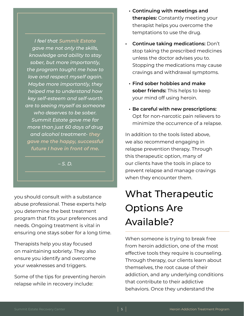<span id="page-4-0"></span>*I feel that Summit Estate gave me not only the skills, knowledge and ability to stay sober, but more importantly, the program taught me how to love and respect myself again. Maybe more importantly, they helped me to understand how key self-esteem and self-worth are to seeing myself as someone who deserves to be sober. Summit Estate gave me far more than just 60 days of drug and alcohol treatment- they gave me the happy, successful future I have in front of me.*

*– S. D.*

you should consult with a substance abuse professional. These experts help you determine the best treatment program that fits your preferences and needs. Ongoing treatment is vital in ensuring one stays sober for a long time.

Therapists help you stay focused on maintaining sobriety. They also ensure you identify and overcome your weaknesses and triggers.

Some of the tips for preventing heroin relapse while in recovery include:

- **• Continuing with meetings and therapies:** Constantly meeting your therapist helps you overcome the temptations to use the drug.
- **• Continue taking medications:** Don't stop taking the prescribed medicines unless the doctor advises you to. Stopping the medications may cause cravings and withdrawal symptoms.
	- **• Find sober hobbies and make sober friends:** This helps to keep your mind off using heroin.
	- **• Be careful with new prescriptions:** Opt for non-narcotic pain relievers to minimize the occurrence of a relapse.

In addition to the tools listed above, we also recommend engaging in relapse prevention therapy. Through this therapeutic option, many of our clients have the tools in place to prevent relapse and manage cravings when they encounter them.

#### What Therapeutic Options Are Available?

When someone is trying to break free from heroin addiction, one of the most effective tools they require is counseling. Through therapy, our clients learn about themselves, the root cause of their addiction, and any underlying conditions that contribute to their addictive behaviors. Once they understand the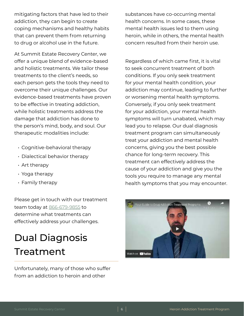<span id="page-5-0"></span>mitigating factors that have led to their addiction, they can begin to create coping mechanisms and healthy habits that can prevent them from returning to drug or alcohol use in the future.

At Summit Estate Recovery Center, we offer a unique blend of evidence-based and holistic treatments. We tailor these treatments to the client's needs, so each person gets the tools they need to overcome their unique challenges. Our evidence-based treatments have proven to be effective in treating addiction, while holistic treatments address the damage that addiction has done to the person's mind, body, and soul. Our therapeutic modalities include:

- Cognitive-behavioral therapy
- Dialectical behavior therapy
- Art therapy
- Yoga therapy
- Family therapy

Please get in touch with our treatment team today at [866-679-9855](tel:+18666799855) to determine what treatments can effectively address your challenges.

#### Dual Diagnosis Treatment

Unfortunately, many of those who suffer from an addiction to heroin and other

substances have co-occurring mental health concerns. In some cases, these mental health issues led to them using heroin, while in others, the mental health concern resulted from their heroin use.

Regardless of which came first, it is vital to seek concurrent treatment of both conditions. If you only seek treatment for your mental health condition, your addiction may continue, leading to further or worsening mental health symptoms. Conversely, if you only seek treatment for your addiction, your mental health symptoms will turn unabated, which may lead you to relapse. Our dual diagnosis treatment program can simultaneously treat your addiction and mental health concerns, giving you the best possible chance for long-term recovery. This treatment can effectively address the cause of your addiction and give you the tools you require to manage any mental health symptoms that you may encounter.